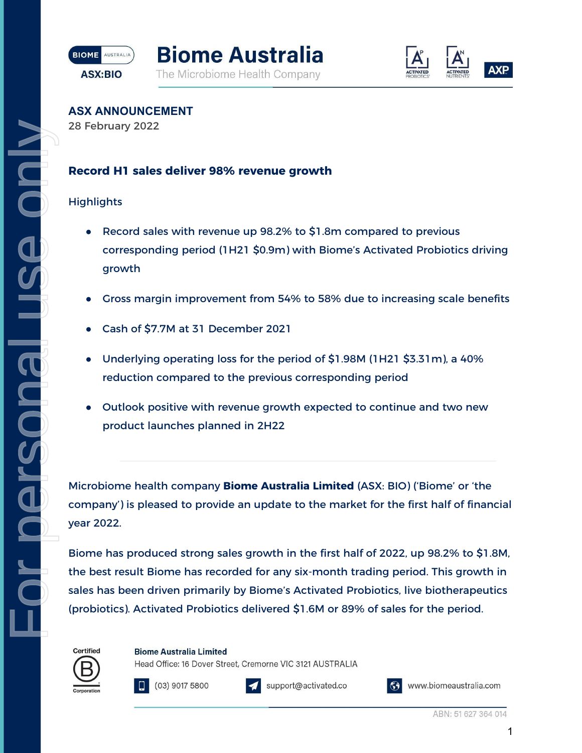





**ASX ANNOUNCEMENT**

28 February 2022

# **Record H1 sales deliver 98% revenue growth**

## **Highlights**

For personal use only

ICOPTSONS

 $\tilde{C}$ 

- Record sales with revenue up 98.2% to \$1.8m compared to previous corresponding period (1H21 \$0.9m) with Biome's Activated Probiotics driving growth
- Gross margin improvement from 54% to 58% due to increasing scale benefits
- Cash of \$7.7M at 31 December 2021
- Underlying operating loss for the period of \$1.98M (1H21  $$3.31m$ ), a 40% reduction compared to the previous corresponding period
- Outlook positive with revenue growth expected to continue and two new product launches planned in 2H22

Microbiome health company **Biome Australia Limited** (ASX: BIO) ('Biome' or 'the company') is pleased to provide an update to the market for the first half of financial year 2022.

Biome has produced strong sales growth in the first half of 2022, up 98.2% to \$1.8M, the best result Biome has recorded for any six-month trading period. This growth in sales has been driven primarily by Biome's Activated Probiotics, live biotherapeutics (probiotics). Activated Probiotics delivered \$1.6M or 89% of sales for the period.

Certified



**Biome Australia Limited** 

support@activated.co

Head Office: 16 Dover Street, Cremorne VIC 3121 AUSTRALIA

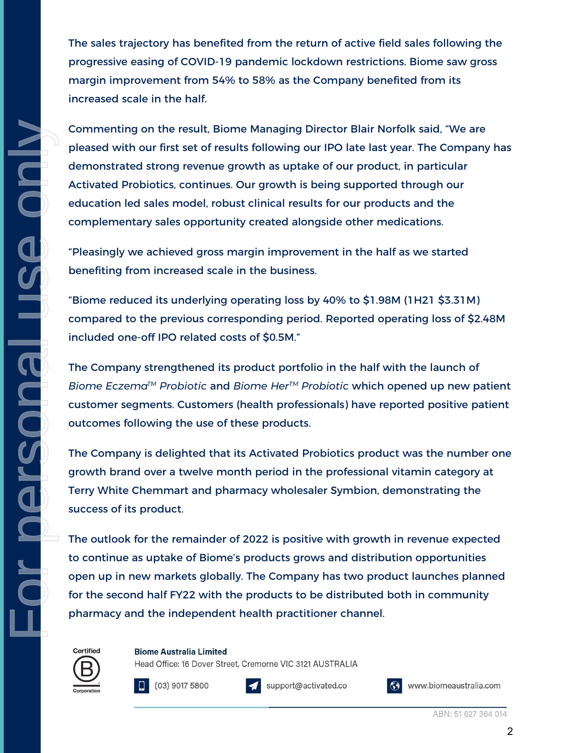The sales trajectory has benefited from the return of active field sales following the progressive easing of COVID-19 pandemic lockdown restrictions. Biome saw gross margin improvement from 54% to 58% as the Company benefited from its increased scale in the half.

Commenting on the result, Biome Managing Director Blair Norfolk said, "We are pleased with our first set of results following our IPO late last year. The Company has demonstrated strong revenue growth as uptake of our product, in particular Activated Probiotics, continues. Our growth is being supported through our education led sales model, robust clinical results for our products and the complementary sales opportunity created alongside other medications.

"Pleasingly we achieved gross margin improvement in the half as we started benefiting from increased scale in the business.

"Biome reduced its underlying operating loss by 40% to \$1.98M (1H21 \$3.31M) compared to the previous corresponding period. Reported operating loss of \$2.48M included one-off IPO related costs of \$0.5M."

The Company strengthened its product portfolio in the half with the launch of *Biome EczemaTM Probiotic* and *Biome HerTM Probiotic* which opened up new patient customer segments. Customers (health professionals) have reported positive patient outcomes following the use of these products.

The Company is delighted that its Activated Probiotics product was the number one growth brand over a twelve month period in the professional vitamin category at Terry White Chemmart and pharmacy wholesaler Symbion, demonstrating the success of its product.

The outlook for the remainder of 2022 is positive with growth in revenue expected to continue as uptake of Biome's products grows and distribution opportunities open up in new markets globally. The Company has two product launches planned for the second half FY22 with the products to be distributed both in community pharmacy and the independent health practitioner channel.



For personal use only

IRUOSTAO

O<br>C<br>C

**Biome Australia Limited** 

Head Office: 16 Dover Street, Cremorne VIC 3121 AUSTRALIA





support@activated.co

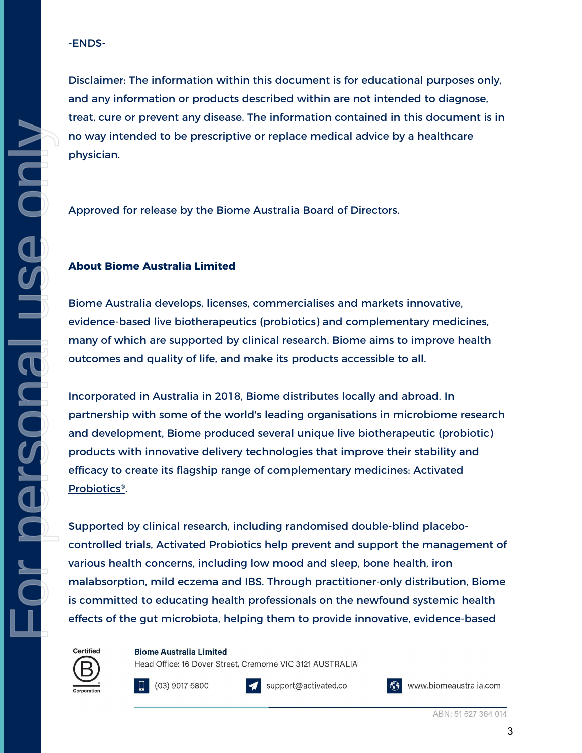#### -ENDS-

Disclaimer: The information within this document is for educational purposes only, and any information or products described within are not intended to diagnose, treat, cure or prevent any disease. The information contained in this document is in no way intended to be prescriptive or replace medical advice by a healthcare physician.

Approved for release by the Biome Australia Board of Directors.

### **About Biome Australia Limited**

Biome Australia develops, licenses, commercialises and markets innovative, evidence-based live biotherapeutics (probiotics) and complementary medicines, many of which are supported by clinical research. Biome aims to improve health outcomes and quality of life, and make its products accessible to all.

Incorporated in Australia in 2018, Biome distributes locally and abroad. In partnership with some of the world's leading organisations in microbiome research and development, Biome produced several unique live biotherapeutic (probiotic) products with innovative delivery technologies that improve their stability and efficacy to create its flagship range of complementary medicines[:](https://activatedprobiotics.com.au/) Activated [Probiotics®](https://activatedprobiotics.com.au/).

Supported by clinical research, including randomised double-blind placebocontrolled trials, [Activated Probiotics](https://activatedprobiotics.com.au/) help prevent and support the management of various health concerns, including low mood and sleep, bone health, iron malabsorption, mild eczema and IBS. Through practitioner-only distribution, Biome is committed to educating health professionals on the newfound systemic health effects of the gut microbiota, helping them to provide innovative, evidence-based



**Biome Australia Limited** 

Head Office: 16 Dover Street, Cremorne VIC 3121 AUSTRALIA



support@activated.co

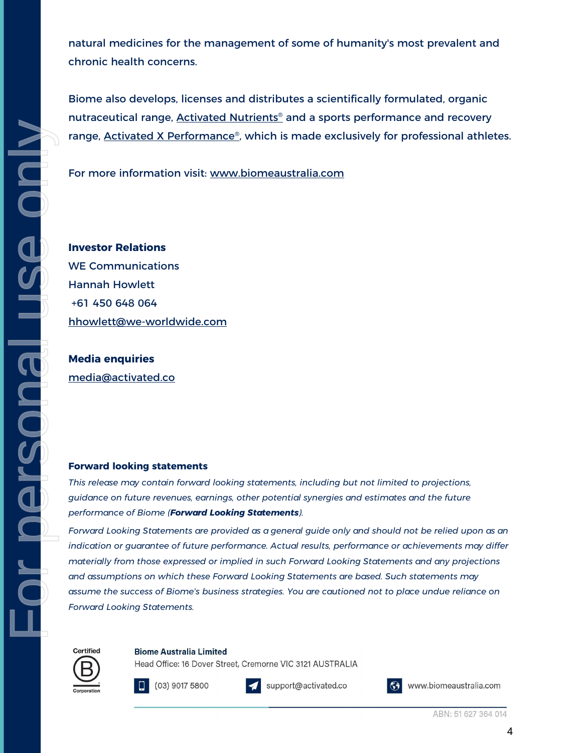natural medicines for the management of some of humanity's most prevalent and chronic health concerns.

Biome also develops, licenses and distributes a scientifically formulated, organic nutraceutical range, **Activated Nutrients<sup>®</sup> and a sports performance and recovery** range[,](https://activatedxperformance.com.au/) **Activated X Performance**®, which is made exclusively for professional athletes.

For more information visi[t:](http://www.biomeaustralia.com/) [www.biomeaustralia.com](http://www.biomeaustralia.com/)

**Investor Relations** WE Communications Hannah Howlett +61 450 648 064 [hhowlett@we-worldwide.com](mailto:hhowlett@we-worldwide.com)

**Media enquiries** [media@activated.co](mailto:media@activated.co)

For personal use only

**IL IGONOSTE OLIT** 

ONU

#### **Forward looking statements**

*This release may contain forward looking statements, including but not limited to projections, guidance on future revenues, earnings, other potential synergies and estimates and the future performance of Biome (Forward Looking Statements).*

*Forward Looking Statements are provided as a general guide only and should not be relied upon as an indication or guarantee of future performance. Actual results, performance or achievements may differ materially from those expressed or implied in such Forward Looking Statements and any projections and assumptions on which these Forward Looking Statements are based. Such statements may assume the success of Biome's business strategies. You are cautioned not to place undue reliance on Forward Looking Statements.* 

Certified



**Biome Australia Limited** 

 $(03)$  9017 5800



support@activated.co